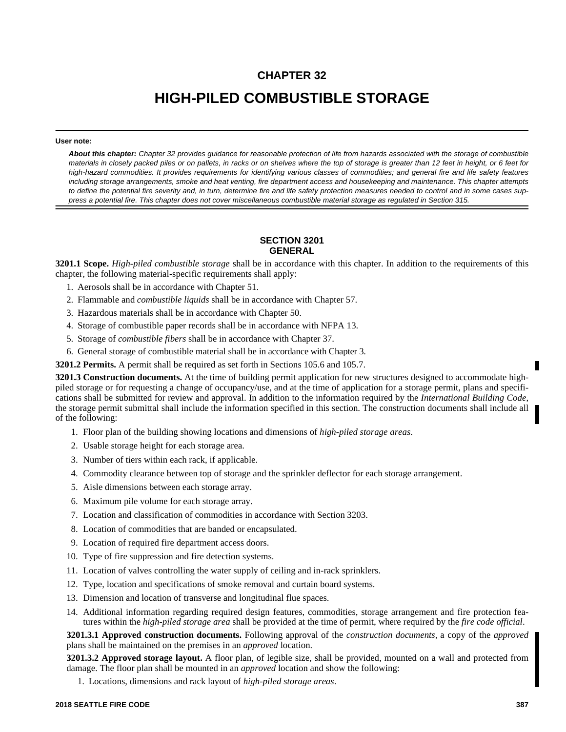# **CHAPTER 32**

# **HIGH-PILED COMBUSTIBLE STORAGE**

#### **User note:**

*About this chapter: Chapter 32 provides guidance for reasonable protection of life from hazards associated with the storage of combustible materials in closely packed piles or on pallets, in racks or on shelves where the top of storage is greater than 12 feet in height, or 6 feet for high-hazard commodities. It provides requirements for identifying various classes of commodities; and general fire and life safety features including storage arrangements, smoke and heat venting, fire department access and housekeeping and maintenance. This chapter attempts to define the potential fire severity and, in turn, determine fire and life safety protection measures needed to control and in some cases suppress a potential fire. This chapter does not cover miscellaneous combustible material storage as regulated in Section 315.*

## **SECTION 3201 GENERAL**

**3201.1 Scope.** *High-piled combustible storage* shall be in accordance with this chapter. In addition to the requirements of this chapter, the following material-specific requirements shall apply:

- 1. Aerosols shall be in accordance with Chapter 51.
- 2. Flammable and *combustible liquids* shall be in accordance with Chapter 57.
- 3. Hazardous materials shall be in accordance with Chapter 50.
- 4. Storage of combustible paper records shall be in accordance with NFPA 13.
- 5. Storage of *combustible fibers* shall be in accordance with Chapter 37.
- 6. General storage of combustible material shall be in accordance with Chapter 3.

**3201.2 Permits.** A permit shall be required as set forth in Sections 105.6 and 105.7.

**3201.3 Construction documents.** At the time of building permit application for new structures designed to accommodate highpiled storage or for requesting a change of occupancy/use, and at the time of application for a storage permit, plans and specifications shall be submitted for review and approval. In addition to the information required by the *International Building Code*, the storage permit submittal shall include the information specified in this section. The construction documents shall include all of the following:

- 1. Floor plan of the building showing locations and dimensions of *high-piled storage areas*.
- 2. Usable storage height for each storage area.
- 3. Number of tiers within each rack, if applicable.
- 4. Commodity clearance between top of storage and the sprinkler deflector for each storage arrangement.
- 5. Aisle dimensions between each storage array.
- 6. Maximum pile volume for each storage array.
- 7. Location and classification of commodities in accordance with Section 3203.
- 8. Location of commodities that are banded or encapsulated.
- 9. Location of required fire department access doors.
- 10. Type of fire suppression and fire detection systems.
- 11. Location of valves controlling the water supply of ceiling and in-rack sprinklers.
- 12. Type, location and specifications of smoke removal and curtain board systems.
- 13. Dimension and location of transverse and longitudinal flue spaces.
- 14. Additional information regarding required design features, commodities, storage arrangement and fire protection features within the *high-piled storage area* shall be provided at the time of permit, where required by the *fire code official*.

**3201.3.1 Approved construction documents.** Following approval of the *construction documents,* a copy of the *approved* plans shall be maintained on the premises in an *approved* location.

**3201.3.2 Approved storage layout.** A floor plan, of legible size, shall be provided, mounted on a wall and protected from damage. The floor plan shall be mounted in an *approved* location and show the following:

1. Locations, dimensions and rack layout of *high-piled storage areas*.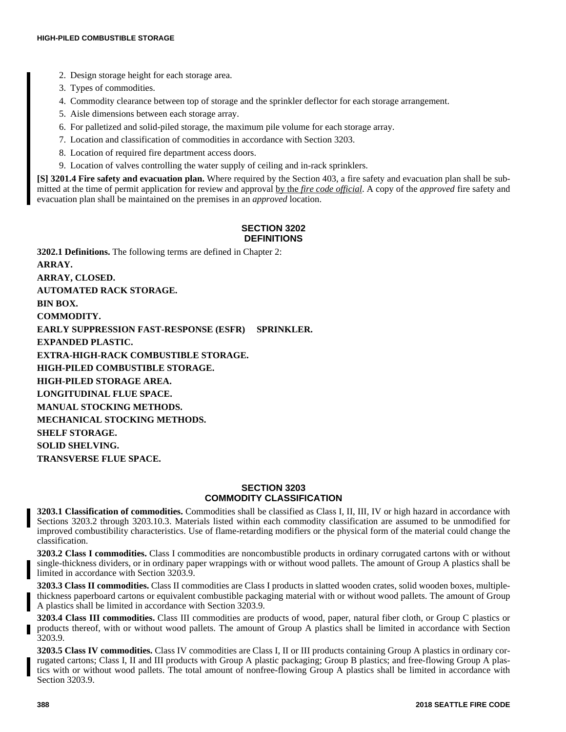- 2. Design storage height for each storage area.
- 3. Types of commodities.
- 4. Commodity clearance between top of storage and the sprinkler deflector for each storage arrangement.
- 5. Aisle dimensions between each storage array.
- 6. For palletized and solid-piled storage, the maximum pile volume for each storage array.
- 7. Location and classification of commodities in accordance with Section 3203.
- 8. Location of required fire department access doors.
- 9. Location of valves controlling the water supply of ceiling and in-rack sprinklers.

**[S] 3201.4 Fire safety and evacuation plan.** Where required by the Section 403, a fire safety and evacuation plan shall be submitted at the time of permit application for review and approval by the *fire code official*. A copy of the *approved* fire safety and evacuation plan shall be maintained on the premises in an *approved* location.

# **SECTION 3202 DEFINITIONS**

**3202.1 Definitions.** The following terms are defined in Chapter 2: **ARRAY. ARRAY, CLOSED. AUTOMATED RACK STORAGE. BIN BOX. COMMODITY. EARLY SUPPRESSION FAST-RESPONSE (ESFR) SPRINKLER. EXPANDED PLASTIC. EXTRA-HIGH-RACK COMBUSTIBLE STORAGE. HIGH-PILED COMBUSTIBLE STORAGE. HIGH-PILED STORAGE AREA. LONGITUDINAL FLUE SPACE. MANUAL STOCKING METHODS. MECHANICAL STOCKING METHODS. SHELF STORAGE. SOLID SHELVING. TRANSVERSE FLUE SPACE.**

## **SECTION 3203 COMMODITY CLASSIFICATION**

**3203.1 Classification of commodities.** Commodities shall be classified as Class I, II, III, IV or high hazard in accordance with Sections 3203.2 through 3203.10.3. Materials listed within each commodity classification are assumed to be unmodified for improved combustibility characteristics. Use of flame-retarding modifiers or the physical form of the material could change the classification.

**3203.2 Class I commodities.** Class I commodities are noncombustible products in ordinary corrugated cartons with or without single-thickness dividers, or in ordinary paper wrappings with or without wood pallets. The amount of Group A plastics shall be limited in accordance with Section 3203.9.

**3203.3 Class II commodities.** Class II commodities are Class I products in slatted wooden crates, solid wooden boxes, multiplethickness paperboard cartons or equivalent combustible packaging material with or without wood pallets. The amount of Group A plastics shall be limited in accordance with Section 3203.9.

**3203.4 Class III commodities.** Class III commodities are products of wood, paper, natural fiber cloth, or Group C plastics or products thereof, with or without wood pallets. The amount of Group A plastics shall be limited in accordance with Section 3203.9.

**3203.5 Class IV commodities.** Class IV commodities are Class I, II or III products containing Group A plastics in ordinary corrugated cartons; Class I, II and III products with Group A plastic packaging; Group B plastics; and free-flowing Group A plastics with or without wood pallets. The total amount of nonfree-flowing Group A plastics shall be limited in accordance with Section 3203.9.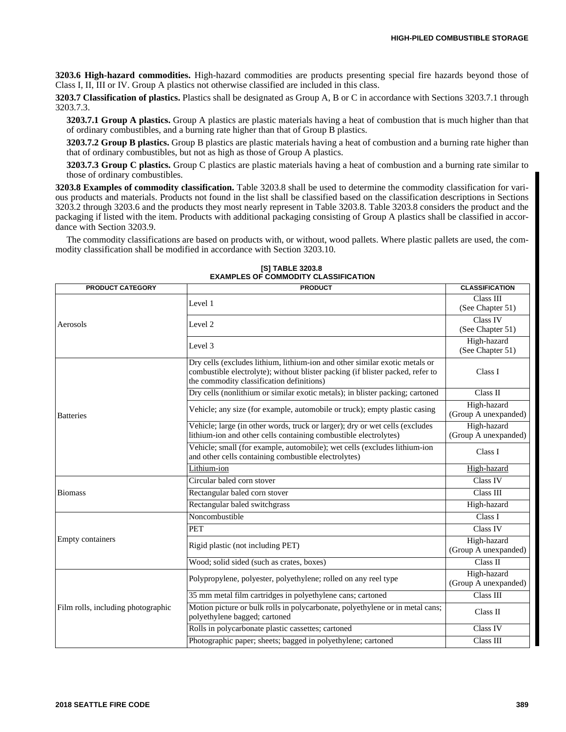**3203.6 High-hazard commodities.** High-hazard commodities are products presenting special fire hazards beyond those of Class I, II, III or IV. Group A plastics not otherwise classified are included in this class.

**3203.7 Classification of plastics.** Plastics shall be designated as Group A, B or C in accordance with Sections 3203.7.1 through 3203.7.3.

**3203.7.1 Group A plastics.** Group A plastics are plastic materials having a heat of combustion that is much higher than that of ordinary combustibles, and a burning rate higher than that of Group B plastics.

**3203.7.2 Group B plastics.** Group B plastics are plastic materials having a heat of combustion and a burning rate higher than that of ordinary combustibles, but not as high as those of Group A plastics.

**3203.7.3 Group C plastics.** Group C plastics are plastic materials having a heat of combustion and a burning rate similar to those of ordinary combustibles.

**3203.8 Examples of commodity classification.** Table 3203.8 shall be used to determine the commodity classification for various products and materials. Products not found in the list shall be classified based on the classification descriptions in Sections 3203.2 through 3203.6 and the products they most nearly represent in Table 3203.8. Table 3203.8 considers the product and the packaging if listed with the item. Products with additional packaging consisting of Group A plastics shall be classified in accordance with Section 3203.9.

The commodity classifications are based on products with, or without, wood pallets. Where plastic pallets are used, the commodity classification shall be modified in accordance with Section 3203.10.

| <b>PRODUCT CATEGORY</b>            | <b>PRODUCT</b>                                                                                                                                                                                             | <b>CLASSIFICATION</b>               |
|------------------------------------|------------------------------------------------------------------------------------------------------------------------------------------------------------------------------------------------------------|-------------------------------------|
|                                    | Level 1                                                                                                                                                                                                    | Class III<br>(See Chapter 51)       |
| Aerosols                           | Level 2                                                                                                                                                                                                    | Class IV<br>(See Chapter 51)        |
|                                    | Level 3                                                                                                                                                                                                    | High-hazard<br>(See Chapter 51)     |
|                                    | Dry cells (excludes lithium, lithium-ion and other similar exotic metals or<br>combustible electrolyte); without blister packing (if blister packed, refer to<br>the commodity classification definitions) | Class I                             |
|                                    | Dry cells (nonlithium or similar exotic metals); in blister packing; cartoned                                                                                                                              | Class II                            |
| <b>Batteries</b>                   | Vehicle; any size (for example, automobile or truck); empty plastic casing                                                                                                                                 | High-hazard<br>(Group A unexpanded) |
|                                    | Vehicle; large (in other words, truck or larger); dry or wet cells (excludes<br>lithium-ion and other cells containing combustible electrolytes)                                                           | High-hazard<br>(Group A unexpanded) |
|                                    | Vehicle; small (for example, automobile); wet cells (excludes lithium-ion<br>and other cells containing combustible electrolytes)                                                                          | Class I                             |
|                                    | Lithium-ion                                                                                                                                                                                                | High-hazard                         |
|                                    | Circular baled corn stover                                                                                                                                                                                 | Class IV                            |
| <b>Biomass</b>                     | Rectangular baled corn stover                                                                                                                                                                              | Class III                           |
|                                    | Rectangular baled switchgrass                                                                                                                                                                              | High-hazard                         |
|                                    | Noncombustible                                                                                                                                                                                             | Class I                             |
|                                    | <b>PET</b>                                                                                                                                                                                                 | <b>Class IV</b>                     |
| <b>Empty containers</b>            | Rigid plastic (not including PET)                                                                                                                                                                          | High-hazard<br>(Group A unexpanded) |
|                                    | Wood; solid sided (such as crates, boxes)                                                                                                                                                                  | Class <sub>II</sub>                 |
|                                    | Polypropylene, polyester, polyethylene; rolled on any reel type                                                                                                                                            | High-hazard<br>(Group A unexpanded) |
|                                    | 35 mm metal film cartridges in polyethylene cans; cartoned                                                                                                                                                 | Class III                           |
| Film rolls, including photographic | Motion picture or bulk rolls in polycarbonate, polyethylene or in metal cans;<br>polyethylene bagged; cartoned                                                                                             | Class II                            |
|                                    | Rolls in polycarbonate plastic cassettes; cartoned                                                                                                                                                         | <b>Class IV</b>                     |
|                                    | Photographic paper; sheets; bagged in polyethylene; cartoned                                                                                                                                               | Class III                           |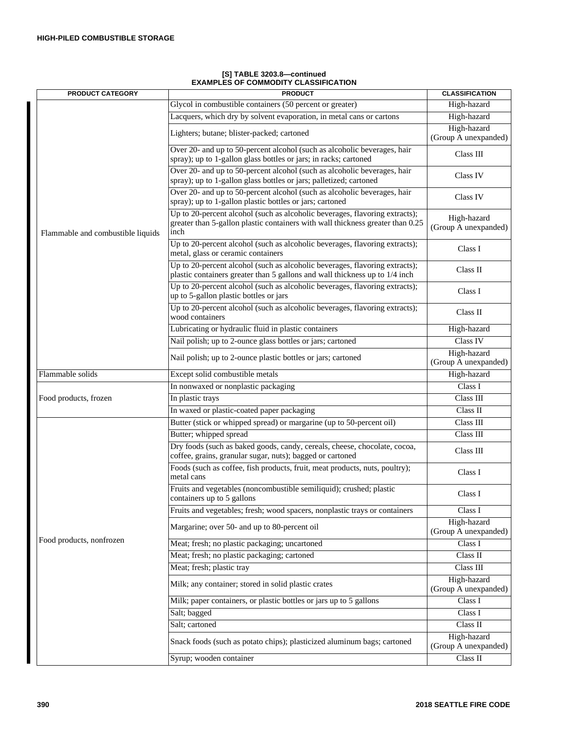| <b>PRODUCT CATEGORY</b>           | <u>AMILEEU UL UUMINUDITTUEAUUILIUAT</u><br><b>PRODUCT</b>                                                                                                             | <b>CLASSIFICATION</b>               |
|-----------------------------------|-----------------------------------------------------------------------------------------------------------------------------------------------------------------------|-------------------------------------|
|                                   | Glycol in combustible containers (50 percent or greater)                                                                                                              | High-hazard                         |
|                                   | Lacquers, which dry by solvent evaporation, in metal cans or cartons                                                                                                  | High-hazard                         |
|                                   | Lighters; butane; blister-packed; cartoned                                                                                                                            | High-hazard<br>(Group A unexpanded) |
|                                   | Over 20- and up to 50-percent alcohol (such as alcoholic beverages, hair<br>spray); up to 1-gallon glass bottles or jars; in racks; cartoned                          | Class III                           |
|                                   | Over 20- and up to 50-percent alcohol (such as alcoholic beverages, hair<br>spray); up to 1-gallon glass bottles or jars; palletized; cartoned                        | Class IV                            |
|                                   | Over 20- and up to 50-percent alcohol (such as alcoholic beverages, hair<br>spray); up to 1-gallon plastic bottles or jars; cartoned                                  | Class IV                            |
| Flammable and combustible liquids | Up to 20-percent alcohol (such as alcoholic beverages, flavoring extracts);<br>greater than 5-gallon plastic containers with wall thickness greater than 0.25<br>inch | High-hazard<br>(Group A unexpanded) |
|                                   | Up to 20-percent alcohol (such as alcoholic beverages, flavoring extracts);<br>metal, glass or ceramic containers                                                     | Class I                             |
|                                   | Up to 20-percent alcohol (such as alcoholic beverages, flavoring extracts);<br>plastic containers greater than 5 gallons and wall thickness up to 1/4 inch            | Class II                            |
|                                   | Up to 20-percent alcohol (such as alcoholic beverages, flavoring extracts);<br>up to 5-gallon plastic bottles or jars                                                 | Class I                             |
|                                   | Up to 20-percent alcohol (such as alcoholic beverages, flavoring extracts);<br>wood containers                                                                        | Class II                            |
|                                   | Lubricating or hydraulic fluid in plastic containers                                                                                                                  | High-hazard                         |
|                                   | Nail polish; up to 2-ounce glass bottles or jars; cartoned                                                                                                            | Class IV                            |
|                                   | Nail polish; up to 2-ounce plastic bottles or jars; cartoned                                                                                                          | High-hazard<br>(Group A unexpanded) |
| Flammable solids                  | Except solid combustible metals                                                                                                                                       | High-hazard                         |
|                                   | In nonwaxed or nonplastic packaging                                                                                                                                   | Class I                             |
| Food products, frozen             | In plastic trays                                                                                                                                                      | Class III                           |
|                                   | In waxed or plastic-coated paper packaging                                                                                                                            | Class II                            |
|                                   | Butter (stick or whipped spread) or margarine (up to 50-percent oil)                                                                                                  | Class III                           |
|                                   | Butter; whipped spread                                                                                                                                                | Class III                           |
|                                   | Dry foods (such as baked goods, candy, cereals, cheese, chocolate, cocoa,<br>coffee, grains, granular sugar, nuts); bagged or cartoned                                | Class III                           |
|                                   | Foods (such as coffee, fish products, fruit, meat products, nuts, poultry);<br>metal cans                                                                             | Class I                             |
|                                   | Fruits and vegetables (noncombustible semiliquid); crushed; plastic<br>containers up to 5 gallons                                                                     | Class I                             |
|                                   | Fruits and vegetables; fresh; wood spacers, nonplastic trays or containers                                                                                            | Class I                             |
|                                   | Margarine; over 50- and up to 80-percent oil                                                                                                                          | High-hazard<br>(Group A unexpanded) |
| Food products, nonfrozen          | Meat; fresh; no plastic packaging; uncartoned                                                                                                                         | Class I                             |
|                                   | Meat; fresh; no plastic packaging; cartoned                                                                                                                           | Class II                            |
|                                   | Meat; fresh; plastic tray                                                                                                                                             | Class III                           |
|                                   | Milk; any container; stored in solid plastic crates                                                                                                                   | High-hazard<br>(Group A unexpanded) |
|                                   | Milk; paper containers, or plastic bottles or jars up to 5 gallons                                                                                                    | Class I                             |
|                                   | Salt; bagged                                                                                                                                                          | Class I                             |
|                                   | Salt; cartoned                                                                                                                                                        | Class II                            |
|                                   | Snack foods (such as potato chips); plasticized aluminum bags; cartoned                                                                                               | High-hazard<br>(Group A unexpanded) |
|                                   | Syrup; wooden container                                                                                                                                               | Class II                            |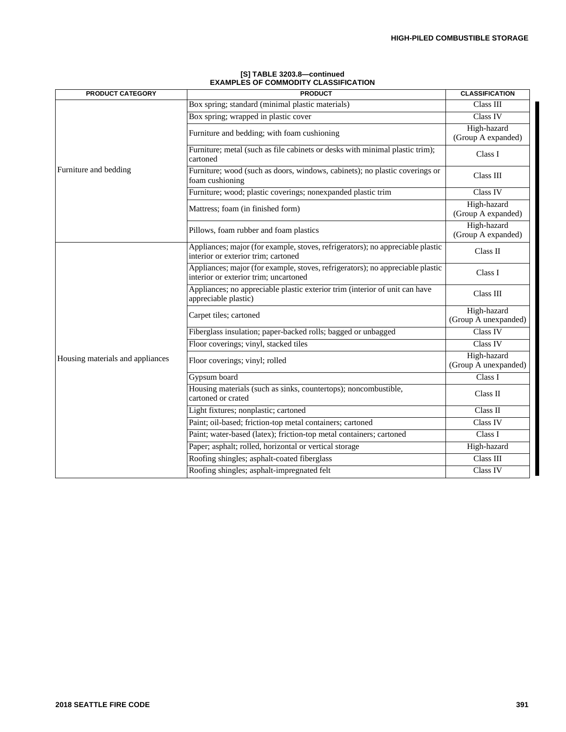| <b>PRODUCT CATEGORY</b>          | <b>PRODUCT</b>                                                                                                          |                                     |
|----------------------------------|-------------------------------------------------------------------------------------------------------------------------|-------------------------------------|
|                                  | Box spring; standard (minimal plastic materials)                                                                        | Class III                           |
|                                  | Box spring; wrapped in plastic cover                                                                                    | Class IV                            |
|                                  | Furniture and bedding; with foam cushioning                                                                             | High-hazard<br>(Group A expanded)   |
|                                  | Furniture; metal (such as file cabinets or desks with minimal plastic trim);<br>cartoned                                | Class I                             |
| Furniture and bedding            | Furniture; wood (such as doors, windows, cabinets); no plastic coverings or<br>foam cushioning                          | Class III                           |
|                                  | Furniture; wood; plastic coverings; nonexpanded plastic trim                                                            | Class IV                            |
|                                  | Mattress; foam (in finished form)                                                                                       | High-hazard<br>(Group A expanded)   |
|                                  | Pillows, foam rubber and foam plastics                                                                                  | High-hazard<br>(Group A expanded)   |
|                                  | Appliances; major (for example, stoves, refrigerators); no appreciable plastic<br>interior or exterior trim; cartoned   | Class II                            |
|                                  | Appliances; major (for example, stoves, refrigerators); no appreciable plastic<br>interior or exterior trim; uncartoned | Class I                             |
|                                  | Appliances; no appreciable plastic exterior trim (interior of unit can have<br>appreciable plastic)                     | Class III                           |
|                                  | Carpet tiles; cartoned                                                                                                  | High-hazard<br>(Group A unexpanded) |
|                                  | Fiberglass insulation; paper-backed rolls; bagged or unbagged                                                           | Class IV                            |
|                                  | Floor coverings; vinyl, stacked tiles                                                                                   | Class IV                            |
| Housing materials and appliances | Floor coverings; vinyl; rolled                                                                                          | High-hazard<br>(Group A unexpanded) |
|                                  | Gypsum board                                                                                                            | Class I                             |
|                                  | Housing materials (such as sinks, countertops); noncombustible,<br>cartoned or crated                                   | Class II                            |
|                                  | Light fixtures; nonplastic; cartoned                                                                                    | Class II                            |
|                                  | Paint; oil-based; friction-top metal containers; cartoned                                                               | Class IV                            |
|                                  | Paint; water-based (latex); friction-top metal containers; cartoned                                                     | Class I                             |
|                                  | Paper; asphalt; rolled, horizontal or vertical storage                                                                  | High-hazard                         |
|                                  | Roofing shingles; asphalt-coated fiberglass                                                                             | Class III                           |
|                                  | Roofing shingles; asphalt-impregnated felt                                                                              | Class IV                            |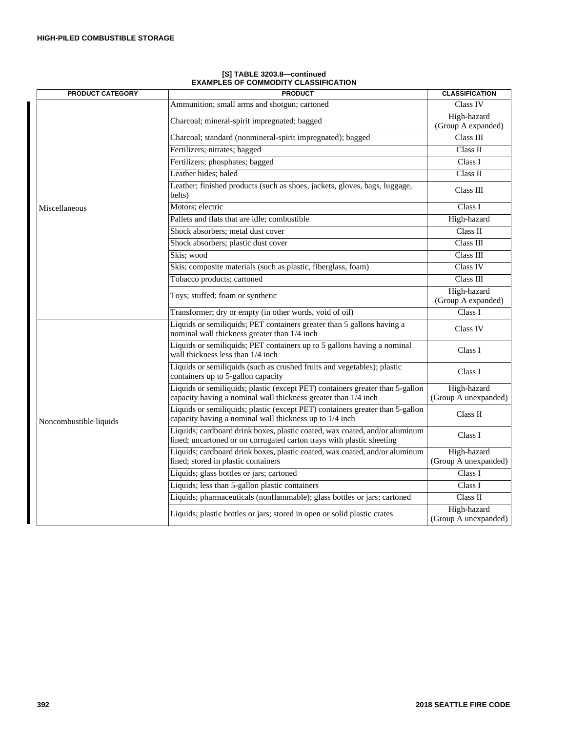| <b>PRODUCT CATEGORY</b><br><b>PRODUCT</b> |                                                                                                                                                      | <b>CLASSIFICATION</b>               |
|-------------------------------------------|------------------------------------------------------------------------------------------------------------------------------------------------------|-------------------------------------|
|                                           | Ammunition; small arms and shotgun; cartoned                                                                                                         | Class IV                            |
|                                           | Charcoal; mineral-spirit impregnated; bagged                                                                                                         | High-hazard<br>(Group A expanded)   |
|                                           | Charcoal; standard (nonmineral-spirit impregnated); bagged                                                                                           | Class III                           |
|                                           | Fertilizers; nitrates; bagged                                                                                                                        | Class II                            |
|                                           | Fertilizers; phosphates; bagged                                                                                                                      | Class I                             |
|                                           | Leather hides; baled                                                                                                                                 | Class II                            |
|                                           | Leather; finished products (such as shoes, jackets, gloves, bags, luggage,<br>belts)                                                                 | Class III                           |
| Miscellaneous                             | Motors; electric                                                                                                                                     | Class I                             |
|                                           | Pallets and flats that are idle; combustible                                                                                                         | High-hazard                         |
|                                           | Shock absorbers; metal dust cover                                                                                                                    | Class II                            |
|                                           | Shock absorbers; plastic dust cover                                                                                                                  | Class III                           |
|                                           | Skis; wood                                                                                                                                           | Class III                           |
|                                           | Skis; composite materials (such as plastic, fiberglass, foam)                                                                                        | Class IV                            |
|                                           | Tobacco products; cartoned                                                                                                                           | Class III                           |
|                                           | Toys; stuffed; foam or synthetic                                                                                                                     | High-hazard<br>(Group A expanded)   |
|                                           | Transformer; dry or empty (in other words, void of oil)                                                                                              | Class I                             |
|                                           | Liquids or semiliquids; PET containers greater than 5 gallons having a<br>nominal wall thickness greater than 1/4 inch                               | Class IV                            |
|                                           | Liquids or semiliquids; PET containers up to 5 gallons having a nominal<br>wall thickness less than 1/4 inch                                         | Class I                             |
|                                           | Liquids or semiliquids (such as crushed fruits and vegetables); plastic<br>containers up to 5-gallon capacity                                        | Class I                             |
|                                           | Liquids or semiliquids; plastic (except PET) containers greater than 5-gallon<br>capacity having a nominal wall thickness greater than 1/4 inch      | High-hazard<br>(Group A unexpanded) |
| Noncombustible liquids                    | Liquids or semiliquids; plastic (except PET) containers greater than 5-gallon<br>capacity having a nominal wall thickness up to 1/4 inch             | Class II                            |
|                                           | Liquids; cardboard drink boxes, plastic coated, wax coated, and/or aluminum<br>lined; uncartoned or on corrugated carton trays with plastic sheeting | Class I                             |
|                                           | Liquids; cardboard drink boxes, plastic coated, wax coated, and/or aluminum<br>lined; stored in plastic containers                                   | High-hazard<br>(Group A unexpanded) |
|                                           | Liquids; glass bottles or jars; cartoned                                                                                                             | Class I                             |
|                                           | Liquids; less than 5-gallon plastic containers                                                                                                       | Class I                             |
|                                           | Liquids; pharmaceuticals (nonflammable); glass bottles or jars; cartoned                                                                             | Class II                            |
|                                           | Liquids; plastic bottles or jars; stored in open or solid plastic crates                                                                             | High-hazard<br>(Group A unexpanded) |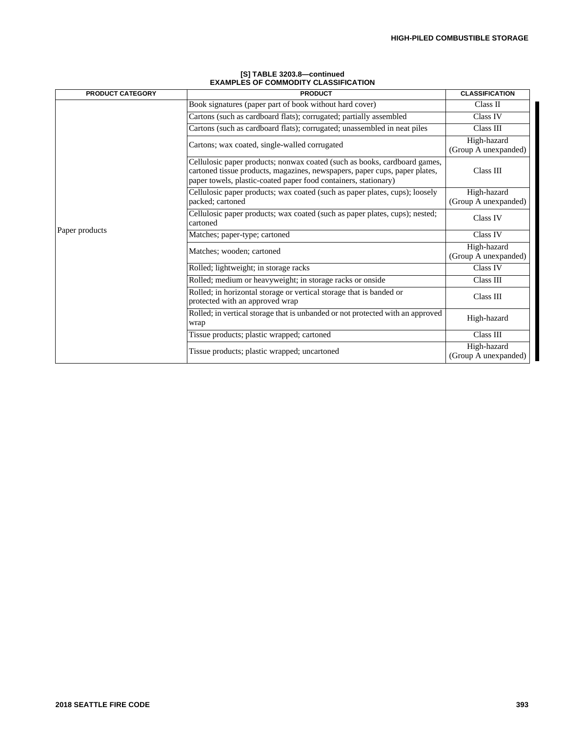| <b>PRODUCT CATEGORY</b> | <b>PRODUCT</b>                                                                                                                                                                                                             | <b>CLASSIFICATION</b>               |
|-------------------------|----------------------------------------------------------------------------------------------------------------------------------------------------------------------------------------------------------------------------|-------------------------------------|
|                         | Book signatures (paper part of book without hard cover)                                                                                                                                                                    | Class II                            |
|                         | Cartons (such as cardboard flats); corrugated; partially assembled                                                                                                                                                         | Class IV                            |
|                         | Cartons (such as cardboard flats); corrugated; unassembled in neat piles                                                                                                                                                   | Class III                           |
|                         | Cartons; wax coated, single-walled corrugated                                                                                                                                                                              | High-hazard<br>(Group A unexpanded) |
|                         | Cellulosic paper products; nonwax coated (such as books, cardboard games,<br>cartoned tissue products, magazines, newspapers, paper cups, paper plates,<br>paper towels, plastic-coated paper food containers, stationary) | Class III                           |
|                         | Cellulosic paper products; wax coated (such as paper plates, cups); loosely<br>packed; cartoned                                                                                                                            | High-hazard<br>(Group A unexpanded) |
|                         | Cellulosic paper products; wax coated (such as paper plates, cups); nested;<br>cartoned                                                                                                                                    | Class IV                            |
| Paper products          | Matches; paper-type; cartoned                                                                                                                                                                                              | Class IV                            |
|                         | Matches; wooden; cartoned                                                                                                                                                                                                  | High-hazard<br>(Group A unexpanded) |
|                         | Rolled; lightweight; in storage racks                                                                                                                                                                                      | Class IV                            |
|                         | Rolled; medium or heavyweight; in storage racks or onside                                                                                                                                                                  | Class III                           |
|                         | Rolled; in horizontal storage or vertical storage that is banded or<br>protected with an approved wrap                                                                                                                     | Class III                           |
|                         | Rolled; in vertical storage that is unbanded or not protected with an approved<br>wrap                                                                                                                                     | High-hazard                         |
|                         | Tissue products; plastic wrapped; cartoned                                                                                                                                                                                 | Class III                           |
|                         | Tissue products; plastic wrapped; uncartoned                                                                                                                                                                               | High-hazard<br>(Group A unexpanded) |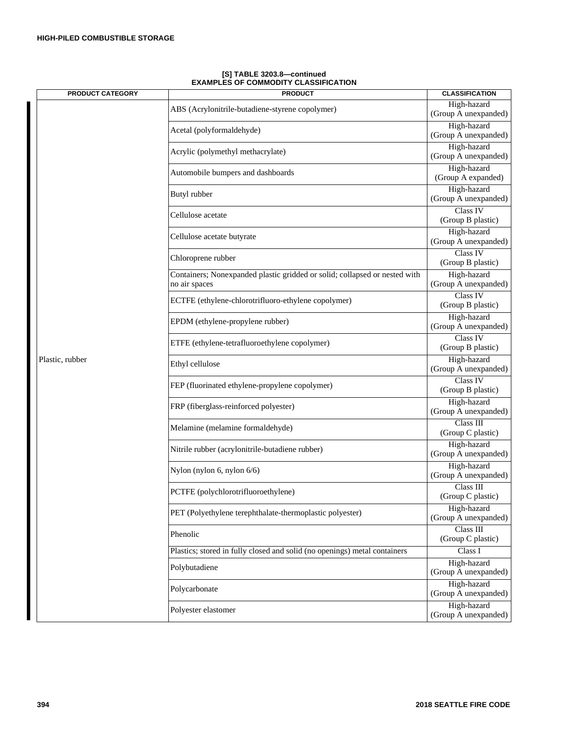| <b>PRODUCT CATEGORY</b> | <b>PRODUCT</b>                                                                              | <b>CLASSIFICATION</b>                     |
|-------------------------|---------------------------------------------------------------------------------------------|-------------------------------------------|
|                         | ABS (Acrylonitrile-butadiene-styrene copolymer)                                             | High-hazard<br>(Group A unexpanded)       |
|                         | Acetal (polyformaldehyde)                                                                   | High-hazard<br>(Group A unexpanded)       |
|                         | Acrylic (polymethyl methacrylate)                                                           | High-hazard<br>(Group A unexpanded)       |
|                         | Automobile bumpers and dashboards                                                           | High-hazard<br>(Group A expanded)         |
|                         | Butyl rubber                                                                                | High-hazard<br>(Group A unexpanded)       |
|                         | Cellulose acetate                                                                           | <b>Class IV</b><br>(Group B plastic)      |
|                         | Cellulose acetate butyrate                                                                  | High-hazard<br>(Group A unexpanded)       |
|                         | Chloroprene rubber                                                                          | Class IV<br>(Group B plastic)             |
|                         | Containers; Nonexpanded plastic gridded or solid; collapsed or nested with<br>no air spaces | High-hazard<br>(Group A unexpanded)       |
|                         | ECTFE (ethylene-chlorotrifluoro-ethylene copolymer)                                         | Class IV<br>(Group B plastic)             |
|                         | EPDM (ethylene-propylene rubber)                                                            | High-hazard<br>(Group A unexpanded)       |
|                         | ETFE (ethylene-tetrafluoroethylene copolymer)                                               | Class IV<br>(Group B plastic)             |
| Plastic, rubber         | Ethyl cellulose                                                                             | High-hazard<br>(Group A unexpanded)       |
|                         | FEP (fluorinated ethylene-propylene copolymer)                                              | Class IV<br>(Group B plastic)             |
|                         | FRP (fiberglass-reinforced polyester)                                                       | High-hazard<br>(Group A unexpanded)       |
|                         | Melamine (melamine formaldehyde)                                                            | Class <sub>III</sub><br>(Group C plastic) |
|                         | Nitrile rubber (acrylonitrile-butadiene rubber)                                             | High-hazard<br>(Group A unexpanded)       |
|                         | Nylon (nylon 6, nylon 6/6)                                                                  | High-hazard<br>(Group A unexpanded)       |
|                         | PCTFE (polychlorotrifluoroethylene)                                                         | Class III<br>(Group C plastic)            |
|                         | PET (Polyethylene terephthalate-thermoplastic polyester)                                    | High-hazard<br>(Group A unexpanded)       |
|                         | Phenolic                                                                                    | Class III<br>(Group C plastic)            |
|                         | Plastics; stored in fully closed and solid (no openings) metal containers                   | Class I                                   |
|                         | Polybutadiene                                                                               | High-hazard<br>(Group A unexpanded)       |
|                         | Polycarbonate                                                                               | High-hazard<br>(Group A unexpanded)       |
|                         | Polyester elastomer                                                                         | High-hazard<br>(Group A unexpanded)       |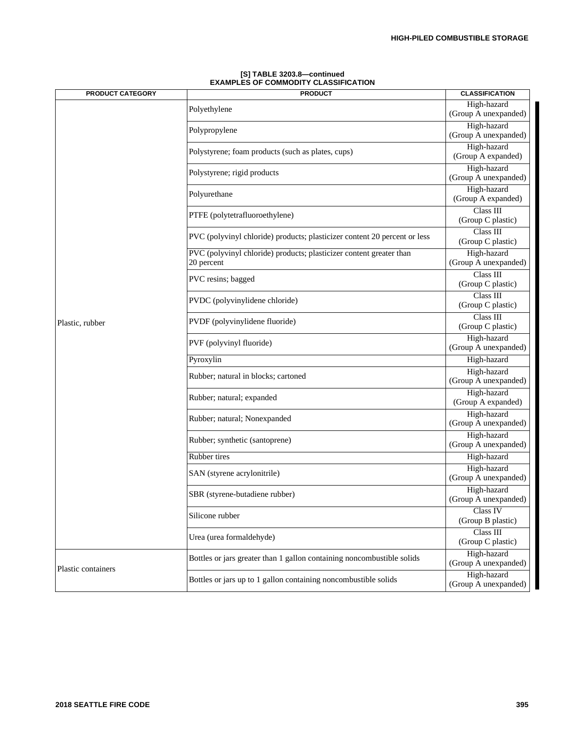| <b>PRODUCT CATEGORY</b> | <b>PRODUCT</b>                                                                    | <b>CLASSIFICATION</b>               |
|-------------------------|-----------------------------------------------------------------------------------|-------------------------------------|
|                         | Polyethylene                                                                      | High-hazard<br>(Group A unexpanded) |
|                         | Polypropylene                                                                     | High-hazard<br>(Group A unexpanded) |
|                         | Polystyrene; foam products (such as plates, cups)                                 | High-hazard<br>(Group A expanded)   |
|                         | Polystyrene; rigid products                                                       | High-hazard<br>(Group A unexpanded) |
|                         | Polyurethane                                                                      | High-hazard<br>(Group A expanded)   |
|                         | PTFE (polytetrafluoroethylene)                                                    | Class III<br>(Group C plastic)      |
|                         | PVC (polyvinyl chloride) products; plasticizer content 20 percent or less         | Class III<br>(Group C plastic)      |
|                         | PVC (polyvinyl chloride) products; plasticizer content greater than<br>20 percent | High-hazard<br>(Group A unexpanded) |
|                         | PVC resins; bagged                                                                | Class III<br>(Group C plastic)      |
|                         | PVDC (polyvinylidene chloride)                                                    | Class III<br>(Group C plastic)      |
| Plastic, rubber         | PVDF (polyvinylidene fluoride)                                                    | Class III<br>(Group C plastic)      |
|                         | PVF (polyvinyl fluoride)                                                          | High-hazard<br>(Group A unexpanded) |
|                         | Pyroxylin                                                                         | High-hazard                         |
|                         | Rubber; natural in blocks; cartoned                                               | High-hazard<br>(Group A unexpanded) |
|                         | Rubber; natural; expanded                                                         | High-hazard<br>(Group A expanded)   |
|                         | Rubber; natural; Nonexpanded                                                      | High-hazard<br>(Group A unexpanded) |
|                         | Rubber; synthetic (santoprene)                                                    | High-hazard<br>(Group A unexpanded) |
|                         | <b>Rubber</b> tires                                                               | High-hazard                         |
|                         | SAN (styrene acrylonitrile)                                                       | High-hazard<br>(Group A unexpanded) |
|                         | SBR (styrene-butadiene rubber)                                                    | High-hazard<br>(Group A unexpanded) |
|                         | Silicone rubber                                                                   | Class IV<br>(Group B plastic)       |
|                         | Urea (urea formaldehyde)                                                          | Class III<br>(Group C plastic)      |
| Plastic containers      | Bottles or jars greater than 1 gallon containing noncombustible solids            | High-hazard<br>(Group A unexpanded) |
|                         | Bottles or jars up to 1 gallon containing noncombustible solids                   | High-hazard<br>(Group A unexpanded) |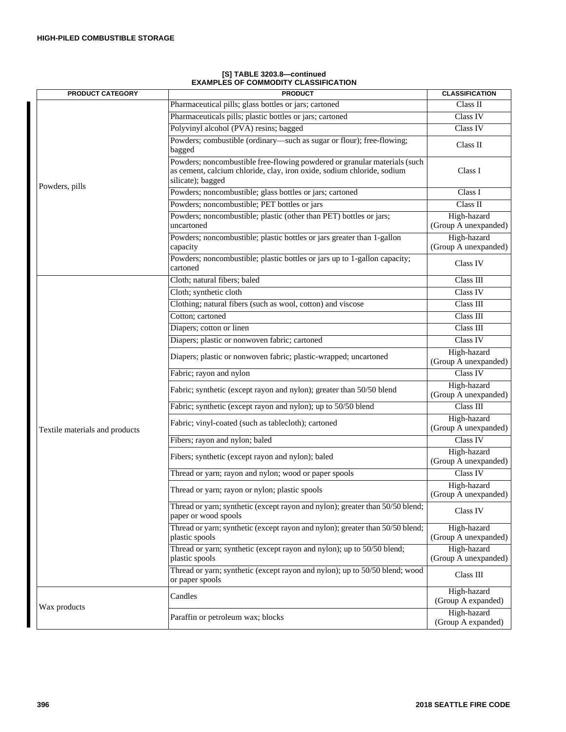| <b>PRODUCT CATEGORY</b>        | <b>CLASSIFICATION</b>                                                                                                                                                    |                                     |
|--------------------------------|--------------------------------------------------------------------------------------------------------------------------------------------------------------------------|-------------------------------------|
|                                | Pharmaceutical pills; glass bottles or jars; cartoned                                                                                                                    | Class II                            |
|                                | Pharmaceuticals pills; plastic bottles or jars; cartoned                                                                                                                 | Class IV                            |
|                                | Polyvinyl alcohol (PVA) resins; bagged                                                                                                                                   | Class IV                            |
|                                | Powders; combustible (ordinary-such as sugar or flour); free-flowing;<br>bagged                                                                                          | Class II                            |
| Powders, pills                 | Powders; noncombustible free-flowing powdered or granular materials (such<br>as cement, calcium chloride, clay, iron oxide, sodium chloride, sodium<br>silicate); bagged | Class I                             |
|                                | Powders; noncombustible; glass bottles or jars; cartoned                                                                                                                 | Class I                             |
|                                | Powders; noncombustible; PET bottles or jars                                                                                                                             | Class II                            |
|                                | Powders; noncombustible; plastic (other than PET) bottles or jars;<br>uncartoned                                                                                         | High-hazard<br>(Group A unexpanded) |
|                                | Powders; noncombustible; plastic bottles or jars greater than 1-gallon<br>capacity                                                                                       | High-hazard<br>(Group A unexpanded) |
|                                | Powders; noncombustible; plastic bottles or jars up to 1-gallon capacity;<br>cartoned                                                                                    | Class IV                            |
|                                | Cloth; natural fibers; baled                                                                                                                                             | Class III                           |
|                                | Cloth; synthetic cloth                                                                                                                                                   | Class IV                            |
|                                | Clothing; natural fibers (such as wool, cotton) and viscose                                                                                                              | Class III                           |
|                                | Cotton; cartoned                                                                                                                                                         | Class III                           |
|                                | Diapers; cotton or linen                                                                                                                                                 | Class III                           |
|                                | Diapers; plastic or nonwoven fabric; cartoned                                                                                                                            | Class IV                            |
|                                | Diapers; plastic or nonwoven fabric; plastic-wrapped; uncartoned                                                                                                         | High-hazard<br>(Group A unexpanded) |
|                                | Fabric; rayon and nylon                                                                                                                                                  | Class IV                            |
|                                | Fabric; synthetic (except rayon and nylon); greater than 50/50 blend                                                                                                     | High-hazard<br>(Group A unexpanded) |
|                                | Fabric; synthetic (except rayon and nylon); up to 50/50 blend                                                                                                            | Class III                           |
| Textile materials and products | Fabric; vinyl-coated (such as tablecloth); cartoned                                                                                                                      | High-hazard<br>(Group A unexpanded) |
|                                | Fibers; rayon and nylon; baled                                                                                                                                           | Class IV                            |
|                                | Fibers; synthetic (except rayon and nylon); baled                                                                                                                        | High-hazard<br>(Group A unexpanded) |
|                                | Thread or yarn; rayon and nylon; wood or paper spools                                                                                                                    | Class IV                            |
|                                | Thread or yarn; rayon or nylon; plastic spools                                                                                                                           | High-hazard<br>(Group A unexpanded) |
|                                | Thread or yarn; synthetic (except rayon and nylon); greater than 50/50 blend;<br>paper or wood spools                                                                    | Class IV                            |
|                                | Thread or yarn; synthetic (except rayon and nylon); greater than 50/50 blend;<br>plastic spools                                                                          | High-hazard<br>(Group A unexpanded) |
|                                | Thread or yarn; synthetic (except rayon and nylon); up to 50/50 blend;<br>plastic spools                                                                                 | High-hazard<br>(Group A unexpanded) |
|                                | Thread or yarn; synthetic (except rayon and nylon); up to 50/50 blend; wood<br>or paper spools                                                                           | Class III                           |
| Wax products                   | Candles                                                                                                                                                                  | High-hazard<br>(Group A expanded)   |
|                                | Paraffin or petroleum wax; blocks                                                                                                                                        | High-hazard<br>(Group A expanded)   |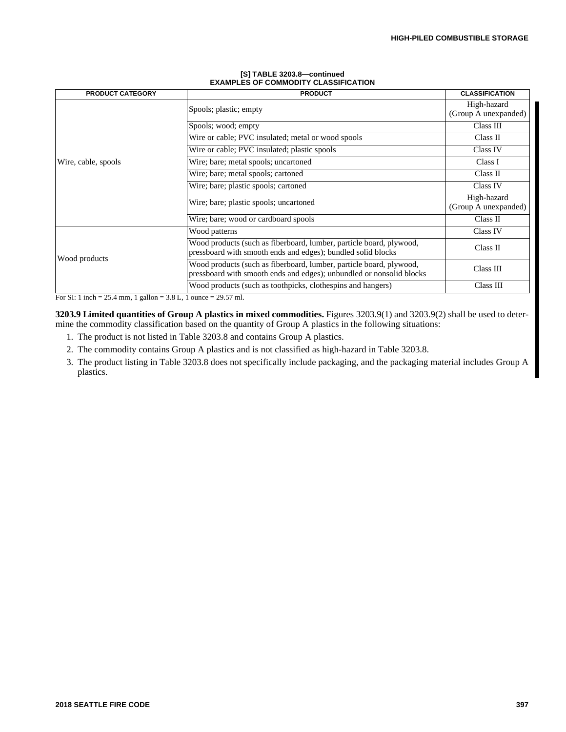| <b>PRODUCT CATEGORY</b> | <b>PRODUCT</b>                                                                                                                              |                                     |
|-------------------------|---------------------------------------------------------------------------------------------------------------------------------------------|-------------------------------------|
|                         | Spools; plastic; empty                                                                                                                      | High-hazard<br>(Group A unexpanded) |
|                         | Spools; wood; empty                                                                                                                         | Class III                           |
|                         | Wire or cable; PVC insulated; metal or wood spools                                                                                          | Class II                            |
|                         | Wire or cable; PVC insulated; plastic spools                                                                                                | Class IV                            |
| Wire, cable, spools     | Wire; bare; metal spools; uncartoned                                                                                                        | Class I                             |
|                         | Wire; bare; metal spools; cartoned                                                                                                          | Class II                            |
|                         | Wire; bare; plastic spools; cartoned                                                                                                        | Class IV                            |
|                         | Wire; bare; plastic spools; uncartoned                                                                                                      | High-hazard<br>(Group A unexpanded) |
|                         | Wire; bare; wood or cardboard spools                                                                                                        | Class II                            |
|                         | Wood patterns                                                                                                                               | Class IV                            |
| Wood products           | Wood products (such as fiberboard, lumber, particle board, plywood,<br>pressboard with smooth ends and edges); bundled solid blocks         | Class II                            |
|                         | Wood products (such as fiberboard, lumber, particle board, plywood,<br>pressboard with smooth ends and edges); unbundled or nonsolid blocks | Class III                           |
|                         | Wood products (such as toothpicks, clothespins and hangers)                                                                                 | Class III                           |

For SI: 1 inch = 25.4 mm, 1 gallon =  $3.8$  L, 1 ounce = 29.57 ml.

**3203.9 Limited quantities of Group A plastics in mixed commodities.** Figures 3203.9(1) and 3203.9(2) shall be used to determine the commodity classification based on the quantity of Group A plastics in the following situations:

- 1. The product is not listed in Table 3203.8 and contains Group A plastics.
- 2. The commodity contains Group A plastics and is not classified as high-hazard in Table 3203.8.
- 3. The product listing in Table 3203.8 does not specifically include packaging, and the packaging material includes Group A plastics.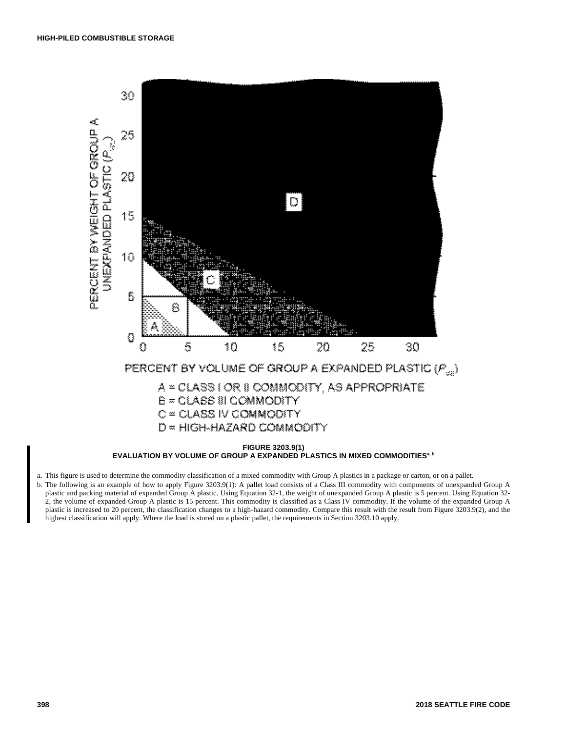

- a. This figure is used to determine the commodity classification of a mixed commodity with Group A plastics in a package or carton, or on a pallet.
- b. The following is an example of how to apply Figure 3203.9(1): A pallet load consists of a Class III commodity with components of unexpanded Group A plastic and packing material of expanded Group A plastic. Using Equation 32-1, the weight of unexpanded Group A plastic is 5 percent. Using Equation 32- 2, the volume of expanded Group A plastic is 15 percent. This commodity is classified as a Class IV commodity. If the volume of the expanded Group A plastic is increased to 20 percent, the classification changes to a high-hazard commodity. Compare this result with the result from Figure 3203.9(2), and the highest classification will apply. Where the load is stored on a plastic pallet, the requirements in Section 3203.10 apply.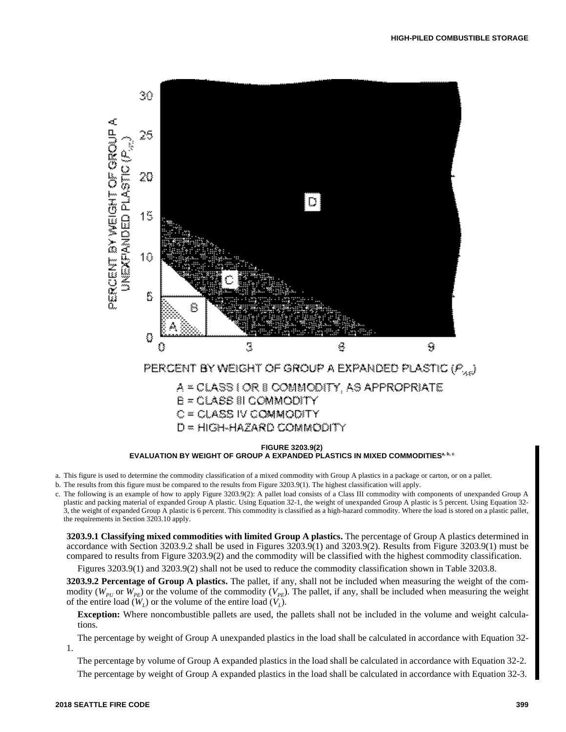![](_page_12_Figure_1.jpeg)

a. This figure is used to determine the commodity classification of a mixed commodity with Group A plastics in a package or carton, or on a pallet.

b. The results from this figure must be compared to the results from Figure 3203.9(1). The highest classification will apply.

c. The following is an example of how to apply Figure 3203.9(2): A pallet load consists of a Class III commodity with components of unexpanded Group A plastic and packing material of expanded Group A plastic. Using Equation 32-1, the weight of unexpanded Group A plastic is 5 percent. Using Equation 32- 3, the weight of expanded Group A plastic is 6 percent. This commodity is classified as a high-hazard commodity. Where the load is stored on a plastic pallet, the requirements in Section 3203.10 apply.

**3203.9.1 Classifying mixed commodities with limited Group A plastics.** The percentage of Group A plastics determined in accordance with Section 3203.9.2 shall be used in Figures 3203.9(1) and 3203.9(2). Results from Figure 3203.9(1) must be compared to results from Figure 3203.9(2) and the commodity will be classified with the highest commodity classification.

Figures 3203.9(1) and 3203.9(2) shall not be used to reduce the commodity classification shown in Table 3203.8.

**3203.9.2 Percentage of Group A plastics.** The pallet, if any, shall not be included when measuring the weight of the commodity ( $W_{PI}$  or  $W_{PF}$ ) or the volume of the commodity ( $V_{PF}$ ). The pallet, if any, shall be included when measuring the weight of the entire load  $(W_L)$  or the volume of the entire load  $(V_L)$ .

**Exception:** Where noncombustible pallets are used, the pallets shall not be included in the volume and weight calculations.

The percentage by weight of Group A unexpanded plastics in the load shall be calculated in accordance with Equation 32- 1.

The percentage by volume of Group A expanded plastics in the load shall be calculated in accordance with Equation 32-2. The percentage by weight of Group A expanded plastics in the load shall be calculated in accordance with Equation 32-3.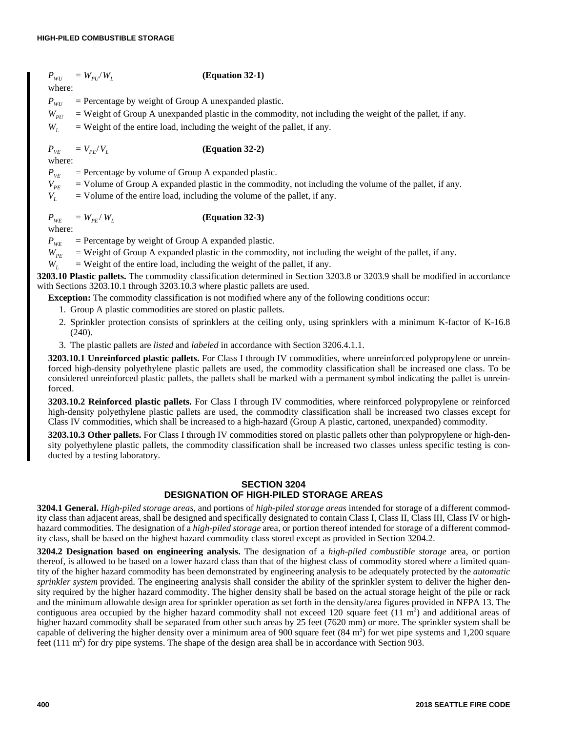$P_{WU}$  =  $W_{PU}$ /*W*<sub>L</sub> **(Equation 32-1)** where:  $P_{WU}$  = Percentage by weight of Group A unexpanded plastic.  $W_{pU}$  = Weight of Group A unexpanded plastic in the commodity, not including the weight of the pallet, if any.  $W_L$  = Weight of the entire load, including the weight of the pallet, if any.  $P_{VE}$  =  $V_{PE}/V_L$ **(Equation 32-2)** where:  $P_{VF}$  = Percentage by volume of Group A expanded plastic.  $V_{PF}$  = Volume of Group A expanded plastic in the commodity, not including the volume of the pallet, if any.  $V_L$  = Volume of the entire load, including the volume of the pallet, if any.  $P_{WE}$  =  $W_{PE}$  /  $W_L$ **(Equation 32-3)**

where:

 $P_{\text{WF}}$  = Percentage by weight of Group A expanded plastic.

 $W_{PF}$  = Weight of Group A expanded plastic in the commodity, not including the weight of the pallet, if any.

 $W_L$  = Weight of the entire load, including the weight of the pallet, if any.

**3203.10 Plastic pallets.** The commodity classification determined in Section 3203.8 or 3203.9 shall be modified in accordance with Sections 3203.10.1 through 3203.10.3 where plastic pallets are used.

**Exception:** The commodity classification is not modified where any of the following conditions occur:

- 1. Group A plastic commodities are stored on plastic pallets.
- 2. Sprinkler protection consists of sprinklers at the ceiling only, using sprinklers with a minimum K-factor of K-16.8 (240).
- 3. The plastic pallets are *listed* and *labeled* in accordance with Section 3206.4.1.1.

**3203.10.1 Unreinforced plastic pallets.** For Class I through IV commodities, where unreinforced polypropylene or unreinforced high-density polyethylene plastic pallets are used, the commodity classification shall be increased one class. To be considered unreinforced plastic pallets, the pallets shall be marked with a permanent symbol indicating the pallet is unreinforced.

**3203.10.2 Reinforced plastic pallets.** For Class I through IV commodities, where reinforced polypropylene or reinforced high-density polyethylene plastic pallets are used, the commodity classification shall be increased two classes except for Class IV commodities, which shall be increased to a high-hazard (Group A plastic, cartoned, unexpanded) commodity.

**3203.10.3 Other pallets.** For Class I through IV commodities stored on plastic pallets other than polypropylene or high-density polyethylene plastic pallets, the commodity classification shall be increased two classes unless specific testing is conducted by a testing laboratory.

## **SECTION 3204 DESIGNATION OF HIGH-PILED STORAGE AREAS**

**3204.1 General.** *High-piled storage areas*, and portions of *high-piled storage areas* intended for storage of a different commodity class than adjacent areas, shall be designed and specifically designated to contain Class I, Class II, Class III, Class IV or highhazard commodities. The designation of a *high-piled storage* area, or portion thereof intended for storage of a different commodity class, shall be based on the highest hazard commodity class stored except as provided in Section 3204.2.

**3204.2 Designation based on engineering analysis.** The designation of a *high-piled combustible storage* area, or portion thereof, is allowed to be based on a lower hazard class than that of the highest class of commodity stored where a limited quantity of the higher hazard commodity has been demonstrated by engineering analysis to be adequately protected by the *automatic sprinkler system* provided. The engineering analysis shall consider the ability of the sprinkler system to deliver the higher density required by the higher hazard commodity. The higher density shall be based on the actual storage height of the pile or rack and the minimum allowable design area for sprinkler operation as set forth in the density/area figures provided in NFPA 13. The contiguous area occupied by the higher hazard commodity shall not exceed 120 square feet  $(11 \text{ m}^2)$  and additional areas of higher hazard commodity shall be separated from other such areas by 25 feet (7620 mm) or more. The sprinkler system shall be capable of delivering the higher density over a minimum area of 900 square feet  $(84 \text{ m}^2)$  for wet pipe systems and 1,200 square feet  $(111 \text{ m}^2)$  for dry pipe systems. The shape of the design area shall be in accordance with Section 903.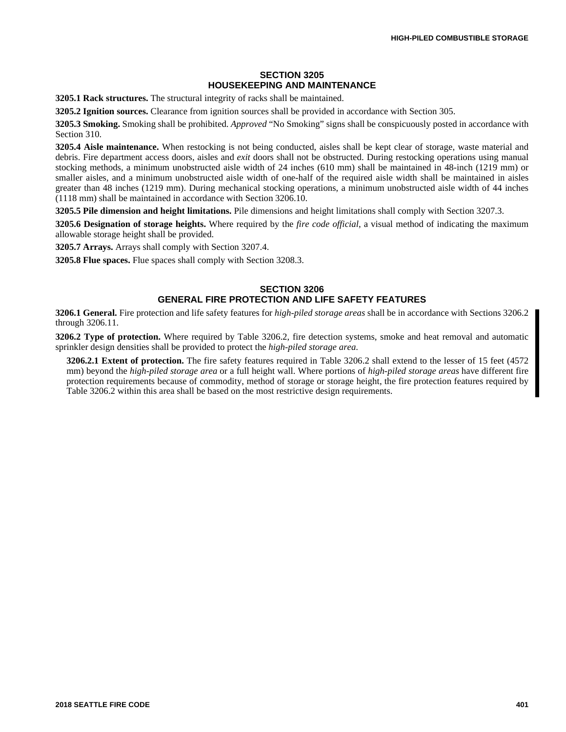# **SECTION 3205 HOUSEKEEPING AND MAINTENANCE**

**3205.1 Rack structures.** The structural integrity of racks shall be maintained.

**3205.2 Ignition sources.** Clearance from ignition sources shall be provided in accordance with Section 305.

**3205.3 Smoking.** Smoking shall be prohibited. *Approved* "No Smoking" signs shall be conspicuously posted in accordance with Section 310.

**3205.4 Aisle maintenance.** When restocking is not being conducted, aisles shall be kept clear of storage, waste material and debris. Fire department access doors, aisles and *exit* doors shall not be obstructed. During restocking operations using manual stocking methods, a minimum unobstructed aisle width of 24 inches (610 mm) shall be maintained in 48-inch (1219 mm) or smaller aisles, and a minimum unobstructed aisle width of one-half of the required aisle width shall be maintained in aisles greater than 48 inches (1219 mm). During mechanical stocking operations, a minimum unobstructed aisle width of 44 inches (1118 mm) shall be maintained in accordance with Section 3206.10.

**3205.5 Pile dimension and height limitations.** Pile dimensions and height limitations shall comply with Section 3207.3.

**3205.6 Designation of storage heights.** Where required by the *fire code official*, a visual method of indicating the maximum allowable storage height shall be provided.

**3205.7 Arrays.** Arrays shall comply with Section 3207.4.

**3205.8 Flue spaces.** Flue spaces shall comply with Section 3208.3.

# **SECTION 3206 GENERAL FIRE PROTECTION AND LIFE SAFETY FEATURES**

**3206.1 General.** Fire protection and life safety features for *high-piled storage areas* shall be in accordance with Sections 3206.2 through 3206.11.

**3206.2 Type of protection.** Where required by Table 3206.2, fire detection systems, smoke and heat removal and automatic sprinkler design densities shall be provided to protect the *high-piled storage area*.

**3206.2.1 Extent of protection.** The fire safety features required in Table 3206.2 shall extend to the lesser of 15 feet (4572 mm) beyond the *high-piled storage area* or a full height wall. Where portions of *high-piled storage areas* have different fire protection requirements because of commodity, method of storage or storage height, the fire protection features required by Table 3206.2 within this area shall be based on the most restrictive design requirements.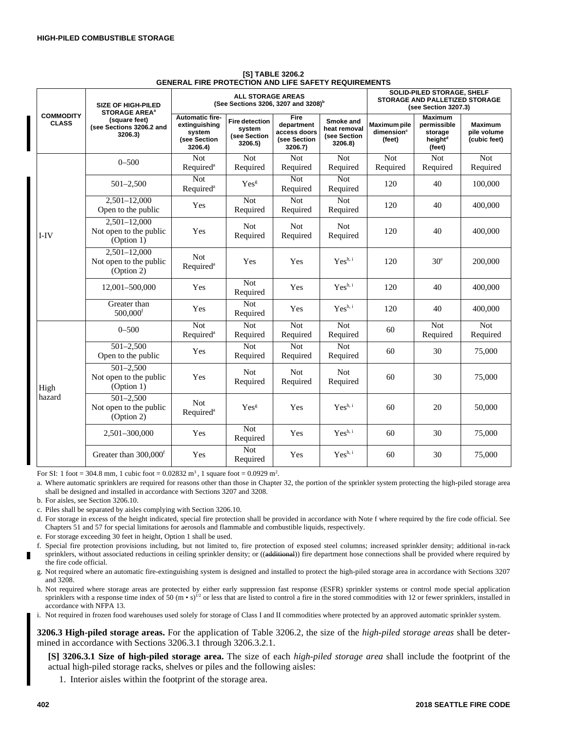|                                  | <b>SIZE OF HIGH-PILED</b><br><b>STORAGE AREA<sup>a</sup></b> | <b>ALL STORAGE AREAS</b><br>(See Sections 3206, 3207 and 3208) <sup>b</sup>  |                                                            |                                                                      |                                                      | <b>SOLID-PILED STORAGE, SHELF</b><br><b>STORAGE AND PALLETIZED STORAGE</b><br>(see Section 3207.3) |                                                                           |                                        |
|----------------------------------|--------------------------------------------------------------|------------------------------------------------------------------------------|------------------------------------------------------------|----------------------------------------------------------------------|------------------------------------------------------|----------------------------------------------------------------------------------------------------|---------------------------------------------------------------------------|----------------------------------------|
| <b>COMMODITY</b><br><b>CLASS</b> | (square feet)<br>(see Sections 3206.2 and<br>3206.3)         | <b>Automatic fire-</b><br>extinguishing<br>system<br>(see Section<br>3206.4) | <b>Fire detection</b><br>system<br>(see Section<br>3206.5) | <b>Fire</b><br>department<br>access doors<br>(see Section<br>3206.7) | Smoke and<br>heat removal<br>(see Section<br>3206.8) | <b>Maximum pile</b><br>dimension <sup>c</sup><br>(feet)                                            | <b>Maximum</b><br>permissible<br>storage<br>height <sup>d</sup><br>(feet) | Maximum<br>pile volume<br>(cubic feet) |
|                                  | $0 - 500$                                                    | <b>Not</b><br>Required <sup>a</sup>                                          | <b>Not</b><br>Required                                     | <b>Not</b><br>Required                                               | $\overline{\text{Not}}$<br>Required                  | $\overline{\text{Not}}$<br>Required                                                                | <b>Not</b><br>Required                                                    | Not <sub>1</sub><br>Required           |
|                                  | $501 - 2,500$                                                | <b>Not</b><br>Required <sup>a</sup>                                          | Yes <sup>g</sup>                                           | <b>Not</b><br>Required                                               | <b>Not</b><br>Required                               | 120                                                                                                | 40                                                                        | 100,000                                |
|                                  | $2,501 - 12,000$<br>Open to the public                       | Yes                                                                          | <b>Not</b><br>Required                                     | <b>Not</b><br>Required                                               | Not<br>Required                                      | 120                                                                                                | 40                                                                        | 400,000                                |
| I-IV                             | $2,501 - 12,000$<br>Not open to the public<br>(Option 1)     | Yes                                                                          | Not<br>Required                                            | <b>Not</b><br>Required                                               | <b>Not</b><br>Required                               | 120                                                                                                | 40                                                                        | 400,000                                |
|                                  | $2,501-12,000$<br>Not open to the public<br>(Option 2)       | <b>Not</b><br>Required <sup>a</sup>                                          | Yes                                                        | Yes                                                                  | Yes <sup>h, i</sup>                                  | 120                                                                                                | 30 <sup>e</sup>                                                           | 200,000                                |
|                                  | 12,001-500,000                                               | Yes                                                                          | <b>Not</b><br>Required                                     | Yes                                                                  | Yes <sup>h, i</sup>                                  | 120                                                                                                | 40                                                                        | 400,000                                |
|                                  | Greater than<br>$500,000$ <sup>f</sup>                       | Yes                                                                          | $\overline{\text{Not}}$<br>Required                        | Yes                                                                  | $Yes^{h, i}$                                         | 120                                                                                                | 40                                                                        | 400,000                                |
|                                  | $0 - 500$                                                    | <b>Not</b><br>Required <sup>a</sup>                                          | <b>Not</b><br>Required                                     | <b>Not</b><br>Required                                               | <b>Not</b><br>Required                               | 60                                                                                                 | <b>Not</b><br>Required                                                    | <b>Not</b><br>Required                 |
|                                  | $501 - 2,500$<br>Open to the public                          | Yes                                                                          | <b>Not</b><br>Required                                     | <b>Not</b><br>Required                                               | <b>Not</b><br>Required                               | 60                                                                                                 | 30                                                                        | 75,000                                 |
| High<br>hazard                   | $501 - 2.500$<br>Not open to the public<br>(Option 1)        | Yes                                                                          | Not<br>Required                                            | <b>Not</b><br>Required                                               | <b>Not</b><br>Required                               | 60                                                                                                 | 30                                                                        | 75,000                                 |
|                                  | $501 - 2,500$<br>Not open to the public<br>(Option 2)        | <b>Not</b><br>Required <sup>a</sup>                                          | Yes <sup>g</sup>                                           | Yes                                                                  | Yes <sup>h, i</sup>                                  | 60                                                                                                 | 20                                                                        | 50,000                                 |
|                                  | 2,501-300,000                                                | Yes                                                                          | <b>Not</b><br>Required                                     | Yes                                                                  | Yes <sup>h, i</sup>                                  | 60                                                                                                 | 30                                                                        | 75,000                                 |
|                                  | Greater than 300,000 <sup>f</sup>                            | Yes                                                                          | <b>Not</b><br>Required                                     | Yes                                                                  | Yes <sup>h, i</sup>                                  | 60                                                                                                 | 30                                                                        | 75,000                                 |

**[S] TABLE 3206.2 GENERAL FIRE PROTECTION AND LIFE SAFETY REQUIREMENTS**

For SI: 1 foot = 304.8 mm, 1 cubic foot =  $0.02832 \text{ m}^3$ , 1 square foot =  $0.0929 \text{ m}^2$ .

a. Where automatic sprinklers are required for reasons other than those in Chapter 32, the portion of the sprinkler system protecting the high-piled storage area shall be designed and installed in accordance with Sections 3207 and 3208.

b. For aisles, see Section 3206.10.

c. Piles shall be separated by aisles complying with Section 3206.10.

d. For storage in excess of the height indicated, special fire protection shall be provided in accordance with Note f where required by the fire code official. See Chapters 51 and 57 for special limitations for aerosols and flammable and combustible liquids, respectively.

e. For storage exceeding 30 feet in height, Option 1 shall be used.

f. Special fire protection provisions including, but not limited to, fire protection of exposed steel columns; increased sprinkler density; additional in-rack sprinklers, without associated reductions in ceiling sprinkler density; or ((additional)) fire department hose connections shall be provided where required by the fire code official.

g. Not required where an automatic fire-extinguishing system is designed and installed to protect the high-piled storage area in accordance with Sections 3207 and 3208.

h. Not required where storage areas are protected by either early suppression fast response (ESFR) sprinkler systems or control mode special application sprinklers with a response time index of 50 (m • s)<sup>1/2</sup> or less that are listed to control a fire in the stored commodities with 12 or fewer sprinklers, installed in accordance with NFPA 13.

i. Not required in frozen food warehouses used solely for storage of Class I and II commodities where protected by an approved automatic sprinkler system.

**3206.3 High-piled storage areas.** For the application of Table 3206.2, the size of the *high-piled storage areas* shall be determined in accordance with Sections 3206.3.1 through 3206.3.2.1.

**[S] 3206.3.1 Size of high-piled storage area.** The size of each *high-piled storage area* shall include the footprint of the actual high-piled storage racks, shelves or piles and the following aisles:

1. Interior aisles within the footprint of the storage area.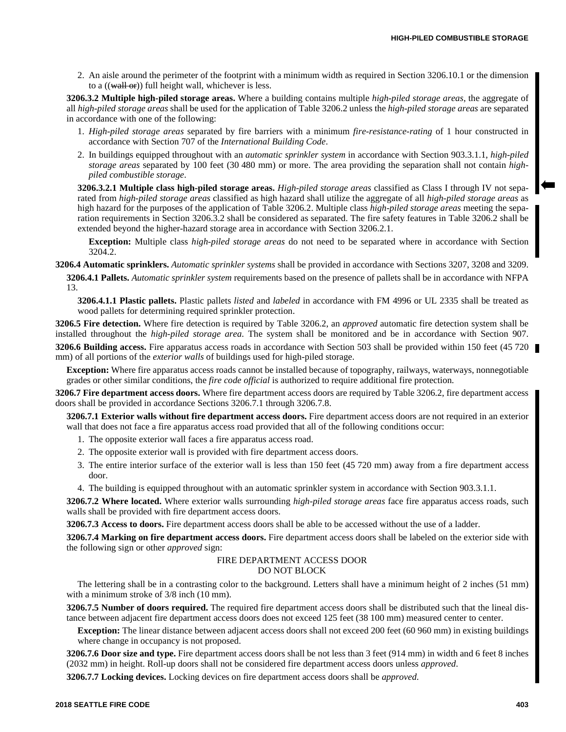2. An aisle around the perimeter of the footprint with a minimum width as required in Section 3206.10.1 or the dimension to a  $((\text{wall or}))$  full height wall, whichever is less.

**3206.3.2 Multiple high-piled storage areas.** Where a building contains multiple *high-piled storage areas*, the aggregate of all *high-piled storage areas* shall be used for the application of Table 3206.2 unless the *high-piled storage areas* are separated in accordance with one of the following:

- 1. *High-piled storage areas* separated by fire barriers with a minimum *fire-resistance-rating* of 1 hour constructed in accordance with Section 707 of the *International Building Code*.
- 2. In buildings equipped throughout with an *automatic sprinkler system* in accordance with Section 903.3.1.1, *high-piled storage areas* separated by 100 feet (30 480 mm) or more. The area providing the separation shall not contain *highpiled combustible storage*.

**3206.3.2.1 Multiple class high-piled storage areas.** *High-piled storage areas* classified as Class I through IV not separated from *high-piled storage areas* classified as high hazard shall utilize the aggregate of all *high-piled storage areas* as high hazard for the purposes of the application of Table 3206.2. Multiple class *high-piled storage areas* meeting the separation requirements in Section 3206.3.2 shall be considered as separated. The fire safety features in Table 3206.2 shall be extended beyond the higher-hazard storage area in accordance with Section 3206.2.1.

**Exception:** Multiple class *high-piled storage areas* do not need to be separated where in accordance with Section 3204.2.

**3206.4 Automatic sprinklers.** *Automatic sprinkler systems* shall be provided in accordance with Sections 3207, 3208 and 3209.

**3206.4.1 Pallets.** *Automatic sprinkler system* requirements based on the presence of pallets shall be in accordance with NFPA 13.

**3206.4.1.1 Plastic pallets.** Plastic pallets *listed* and *labeled* in accordance with FM 4996 or UL 2335 shall be treated as wood pallets for determining required sprinkler protection.

**3206.5 Fire detection.** Where fire detection is required by Table 3206.2, an *approved* automatic fire detection system shall be installed throughout the *high-piled storage area*. The system shall be monitored and be in accordance with Section 907.

**3206.6 Building access.** Fire apparatus access roads in accordance with Section 503 shall be provided within 150 feet (45 720 mm) of all portions of the *exterior walls* of buildings used for high-piled storage.

**Exception:** Where fire apparatus access roads cannot be installed because of topography, railways, waterways, nonnegotiable grades or other similar conditions, the *fire code official* is authorized to require additional fire protection.

**3206.7 Fire department access doors.** Where fire department access doors are required by Table 3206.2, fire department access doors shall be provided in accordance Sections 3206.7.1 through 3206.7.8.

**3206.7.1 Exterior walls without fire department access doors.** Fire department access doors are not required in an exterior wall that does not face a fire apparatus access road provided that all of the following conditions occur:

- 1. The opposite exterior wall faces a fire apparatus access road.
- 2. The opposite exterior wall is provided with fire department access doors.
- 3. The entire interior surface of the exterior wall is less than 150 feet (45 720 mm) away from a fire department access door.
- 4. The building is equipped throughout with an automatic sprinkler system in accordance with Section 903.3.1.1.

**3206.7.2 Where located.** Where exterior walls surrounding *high-piled storage areas* face fire apparatus access roads, such walls shall be provided with fire department access doors.

**3206.7.3 Access to doors.** Fire department access doors shall be able to be accessed without the use of a ladder.

**3206.7.4 Marking on fire department access doors.** Fire department access doors shall be labeled on the exterior side with the following sign or other *approved* sign:

## FIRE DEPARTMENT ACCESS DOOR DO NOT BLOCK

The lettering shall be in a contrasting color to the background. Letters shall have a minimum height of 2 inches (51 mm) with a minimum stroke of  $3/8$  inch (10 mm).

**3206.7.5 Number of doors required.** The required fire department access doors shall be distributed such that the lineal distance between adjacent fire department access doors does not exceed 125 feet (38 100 mm) measured center to center.

**Exception:** The linear distance between adjacent access doors shall not exceed 200 feet (60 960 mm) in existing buildings where change in occupancy is not proposed.

**3206.7.6 Door size and type.** Fire department access doors shall be not less than 3 feet (914 mm) in width and 6 feet 8 inches (2032 mm) in height. Roll-up doors shall not be considered fire department access doors unless *approved*.

**3206.7.7 Locking devices.** Locking devices on fire department access doors shall be *approved*.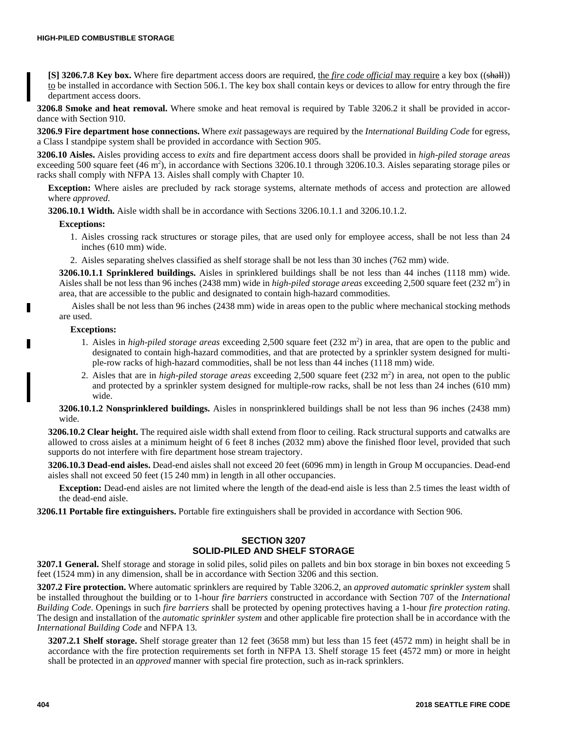**[S] 3206.7.8 Key box.** Where fire department access doors are required, the *fire code official* may require a key box ((shall)) to be installed in accordance with Section 506.1. The key box shall contain keys or devices to allow for entry through the fire department access doors.

**3206.8 Smoke and heat removal.** Where smoke and heat removal is required by Table 3206.2 it shall be provided in accordance with Section 910.

**3206.9 Fire department hose connections.** Where *exit* passageways are required by the *International Building Code* for egress, a Class I standpipe system shall be provided in accordance with Section 905.

**3206.10 Aisles.** Aisles providing access to *exits* and fire department access doors shall be provided in *high-piled storage areas* exceeding 500 square feet (46 m<sup>2</sup>), in accordance with Sections 3206.10.1 through 3206.10.3. Aisles separating storage piles or racks shall comply with NFPA 13. Aisles shall comply with Chapter 10.

**Exception:** Where aisles are precluded by rack storage systems, alternate methods of access and protection are allowed where *approved*.

**3206.10.1 Width.** Aisle width shall be in accordance with Sections 3206.10.1.1 and 3206.10.1.2.

## **Exceptions:**

- 1. Aisles crossing rack structures or storage piles, that are used only for employee access, shall be not less than 24 inches (610 mm) wide.
- 2. Aisles separating shelves classified as shelf storage shall be not less than 30 inches (762 mm) wide.

**3206.10.1.1 Sprinklered buildings.** Aisles in sprinklered buildings shall be not less than 44 inches (1118 mm) wide. Aisles shall be not less than 96 inches (2438 mm) wide in *high-piled storage areas* exceeding 2,500 square feet (232 m<sup>2</sup>) in area, that are accessible to the public and designated to contain high-hazard commodities.

Aisles shall be not less than 96 inches (2438 mm) wide in areas open to the public where mechanical stocking methods are used.

## **Exceptions:**

П

- 1. Aisles in *high-piled storage areas* exceeding 2,500 square feet (232 m<sup>2</sup>) in area, that are open to the public and designated to contain high-hazard commodities, and that are protected by a sprinkler system designed for multiple-row racks of high-hazard commodities, shall be not less than 44 inches (1118 mm) wide.
- 2. Aisles that are in *high-piled storage areas* exceeding 2,500 square feet (232 m<sup>2</sup>) in area, not open to the public and protected by a sprinkler system designed for multiple-row racks, shall be not less than 24 inches (610 mm) wide.

## **3206.10.1.2 Nonsprinklered buildings.** Aisles in nonsprinklered buildings shall be not less than 96 inches (2438 mm) wide.

**3206.10.2 Clear height.** The required aisle width shall extend from floor to ceiling. Rack structural supports and catwalks are allowed to cross aisles at a minimum height of 6 feet 8 inches (2032 mm) above the finished floor level, provided that such supports do not interfere with fire department hose stream trajectory.

**3206.10.3 Dead-end aisles.** Dead-end aisles shall not exceed 20 feet (6096 mm) in length in Group M occupancies. Dead-end aisles shall not exceed 50 feet (15 240 mm) in length in all other occupancies.

**Exception:** Dead-end aisles are not limited where the length of the dead-end aisle is less than 2.5 times the least width of the dead-end aisle.

**3206.11 Portable fire extinguishers.** Portable fire extinguishers shall be provided in accordance with Section 906.

## **SECTION 3207 SOLID-PILED AND SHELF STORAGE**

3207.1 General. Shelf storage and storage in solid piles, solid piles on pallets and bin box storage in bin boxes not exceeding 5 feet (1524 mm) in any dimension, shall be in accordance with Section 3206 and this section.

**3207.2 Fire protection.** Where automatic sprinklers are required by Table 3206.2, an *approved automatic sprinkler system* shall be installed throughout the building or to 1-hour *fire barriers* constructed in accordance with Section 707 of the *International Building Code*. Openings in such *fire barriers* shall be protected by opening protectives having a 1-hour *fire protection rating*. The design and installation of the *automatic sprinkler system* and other applicable fire protection shall be in accordance with the *International Building Code* and NFPA 13.

**3207.2.1 Shelf storage.** Shelf storage greater than 12 feet (3658 mm) but less than 15 feet (4572 mm) in height shall be in accordance with the fire protection requirements set forth in NFPA 13. Shelf storage 15 feet (4572 mm) or more in height shall be protected in an *approved* manner with special fire protection, such as in-rack sprinklers.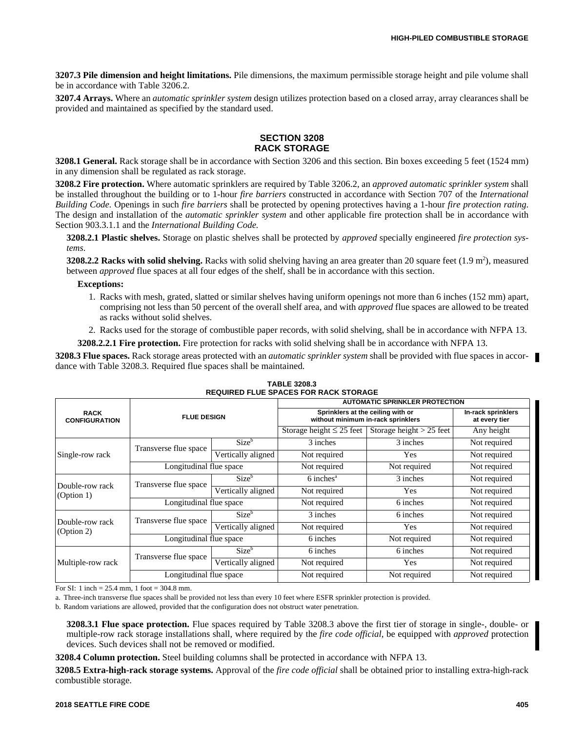**3207.3 Pile dimension and height limitations.** Pile dimensions, the maximum permissible storage height and pile volume shall be in accordance with Table 3206.2.

**3207.4 Arrays.** Where an *automatic sprinkler system* design utilizes protection based on a closed array, array clearances shall be provided and maintained as specified by the standard used.

## **SECTION 3208 RACK STORAGE**

**3208.1 General.** Rack storage shall be in accordance with Section 3206 and this section. Bin boxes exceeding 5 feet (1524 mm) in any dimension shall be regulated as rack storage.

**3208.2 Fire protection.** Where automatic sprinklers are required by Table 3206.2, an *approved automatic sprinkler system* shall be installed throughout the building or to 1-hour *fire barriers* constructed in accordance with Section 707 of the *International Building Code.* Openings in such *fire barriers* shall be protected by opening protectives having a 1-hour *fire protection rating*. The design and installation of the *automatic sprinkler system* and other applicable fire protection shall be in accordance with Section 903.3.1.1 and the *International Building Code.*

**3208.2.1 Plastic shelves.** Storage on plastic shelves shall be protected by *approved* specially engineered *fire protection systems*.

**3208.2.2 Racks with solid shelving.** Racks with solid shelving having an area greater than 20 square feet (1.9 m<sup>2</sup>), measured between *approved* flue spaces at all four edges of the shelf, shall be in accordance with this section.

**Exceptions:**

- 1. Racks with mesh, grated, slatted or similar shelves having uniform openings not more than 6 inches (152 mm) apart, comprising not less than 50 percent of the overall shelf area, and with *approved* flue spaces are allowed to be treated as racks without solid shelves.
- 2. Racks used for the storage of combustible paper records, with solid shelving, shall be in accordance with NFPA 13.

**3208.2.2.1 Fire protection.** Fire protection for racks with solid shelving shall be in accordance with NFPA 13.

**3208.3 Flue spaces.** Rack storage areas protected with an *automatic sprinkler system* shall be provided with flue spaces in accordance with Table 3208.3. Required flue spaces shall be maintained.

| <b>AUTOMATIC SPRINKLER PROTECTION</b> |                         |                    |                                                                         |                                     |              |
|---------------------------------------|-------------------------|--------------------|-------------------------------------------------------------------------|-------------------------------------|--------------|
| <b>RACK</b><br><b>CONFIGURATION</b>   | <b>FLUE DESIGN</b>      |                    | Sprinklers at the ceiling with or<br>without minimum in-rack sprinklers | In-rack sprinklers<br>at every tier |              |
|                                       |                         |                    | Storage height $\leq 25$ feet                                           | Storage height $> 25$ feet          | Any height   |
|                                       | Transverse flue space   | $Size^b$           | 3 inches                                                                | 3 inches                            | Not required |
| Single-row rack                       |                         | Vertically aligned | Not required                                                            | Yes                                 | Not required |
|                                       | Longitudinal flue space |                    | Not required                                                            | Not required                        | Not required |
|                                       |                         | $Size^b$           | $6$ inches <sup><math>a</math></sup>                                    | 3 inches                            | Not required |
| Double-row rack<br>(Option 1)         | Transverse flue space   | Vertically aligned | Not required                                                            | Yes                                 | Not required |
|                                       | Longitudinal flue space |                    | Not required                                                            | 6 inches                            | Not required |
|                                       |                         | $Size^b$           | 3 inches                                                                | 6 inches                            | Not required |
| Double-row rack<br>(Option 2)         | Transverse flue space   | Vertically aligned | Not required                                                            | Yes                                 | Not required |
|                                       | Longitudinal flue space |                    | 6 inches                                                                | Not required                        | Not required |
| Multiple-row rack                     | $Size^b$                |                    | 6 inches                                                                | 6 inches                            | Not required |
|                                       | Transverse flue space   | Vertically aligned | Not required                                                            | Yes                                 | Not required |
|                                       | Longitudinal flue space |                    | Not required                                                            | Not required                        | Not required |

**TABLE 3208.3 REQUIRED FLUE SPACES FOR RACK STORAGE**

For SI: 1 inch =  $25.4$  mm, 1 foot =  $304.8$  mm.

a. Three-inch transverse flue spaces shall be provided not less than every 10 feet where ESFR sprinkler protection is provided.

b. Random variations are allowed, provided that the configuration does not obstruct water penetration.

**3208.3.1 Flue space protection.** Flue spaces required by Table 3208.3 above the first tier of storage in single-, double- or multiple-row rack storage installations shall, where required by the *fire code official*, be equipped with *approved* protection devices. Such devices shall not be removed or modified.

**3208.4 Column protection.** Steel building columns shall be protected in accordance with NFPA 13.

**3208.5 Extra-high-rack storage systems.** Approval of the *fire code official* shall be obtained prior to installing extra-high-rack combustible storage.